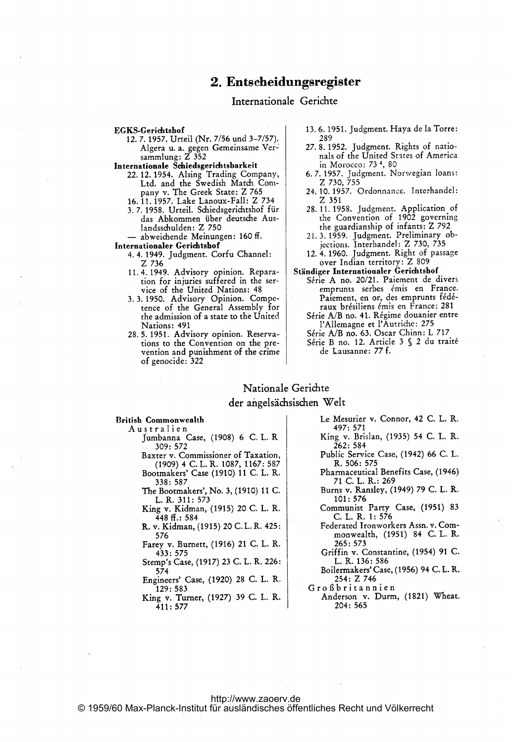# 2. Entscheidungsregister

# Internationale Gerichte

#### EGKS-Gerichtshof

12.7.1957. Urteil (Nr. 7/56 und 3-7/57). Algera u. a. gegen Gemeinsame Ver-<br>sammlung: Z 352

Internationale Schiedsgerichtsbarkeit

- 22. 12. 1954. Alsing Trading Company, Ltd. and the Swedish Match Company v. The Greek State: Z 765 16. 11. 1957. Lake Lanoux-Fall: Z 734
- 3.7.1958. Urteil. Schiedsgerichtshof für das Abkommen über deutsche Auslandsschulden: Z 750

- abweichende Meinungen: 160 ff. Internationaler Gerichtshof

- 4. 4. 1949. Judgment. Corfu Channel: Z 736
	- 11.4.1949. Advisory opinion. Reparation for injuries suffered in the service of the United Nations: 48
	- 3.3.1950. Advisory Opinion. Competence of the General Assembly for the admission of a state to the United Nations: 491
	- 28.5.1951. Advisory opinion. Reservations to the Convention on the prevention and punishment of the crime of genocide: 322
- 13.6.1951. Judgment. Haya de la Torre: 289
- 27.8.1952. Judgment. Rights of nationals of the United States of America in Morocco: 73<sup>4</sup>, 80
- 6.7.1957. Judgment. Norwegian loans:<br>Z 730, 755
- 24. 10. 1957. Ordonnance. Interhandel:  $Z$  351
- 28.11.1958. Judgment. Application of<br>the Convention of 1902 governing<br>the guardianship of infants: Z 792
- 21.3.1959. Judgment. Preliminary objections. Interhandel: Z 730, 735
- 12. 4. 1960. Judgment. Right of passage over Indian territory: Z 809

## Ständiger Internationaler Gerichtshof

- Série A no. 20/21. Paiement de divers emprunts serbes émis en France. Paiement, en or, des emprunts fédéraux brésiliens émis en France: 281
- Série A/B no. 41. Régime douanier entre l'Allemagne et l'Autriche: 275
- Série A/B no. 63. Oscar Chinn: L 717 Série B no. 12. Article 3 § 2 du traité de Lausanne: 77 f.

### Nationale Gerichte

#### der angelsächsischen Welt

#### **British Commonwealth**

- Australien Jumbanna Case, (1908) 6 C. L. R  $309:572$ 
	- Baxter v. Commissioner of Taxation, (1909) 4 C.L.R. 1087, 1167: 587 Bootmakers' Case (1910) 11 C. L. R.
	- 338: 587 The Bootmakers', No. 3, (1910) 11 C.
	- L. R. 311: 573
	- King v. Kidman, (1915) 20 C. L. R.  $448 \text{ ff}$ : 584
	- R. v. Kidman, (1915) 20 C. L. R. 425: 576
	- Farey v. Burnett, (1916) 21 C. L. R. 433: 575 Stemp's Case, (1917) 23 C. L. R. 226:
	- $574$ Engineers' Case, (1920) 28 C. L. R.
	- 129: 583

King v. Turner, (1927) 39 C. L. R. 411:577

- Le Mesurier v. Connor, 42 C. L. R. 497: 571
- King v. Brislan, (1935) 54 C. L. R. 262: 584
- Public Service Case, (1942) 66 C. L. R. 506: 575
- Pharmaceutical Benefits Case, (1946) 71 C. L. R.: 269
- Burns v. Ransley, (1949) 79 C. L. R. 101:576
- Communist Party Case, (1951) 83 C. L. R. 1: 576
- Federated Ironworkers Assn. v. Commonwealth, (1951) 84 C. L. R. 265: 573
- Griffin v. Constantine, (1954) 91 C. L. R. 136: 586
- Boilermakers' Case, (1956) 94 C.L.R. 254: Z 746
- Großbritannien
- Anderson v. Durm, (1821) Wheat.  $204:565$